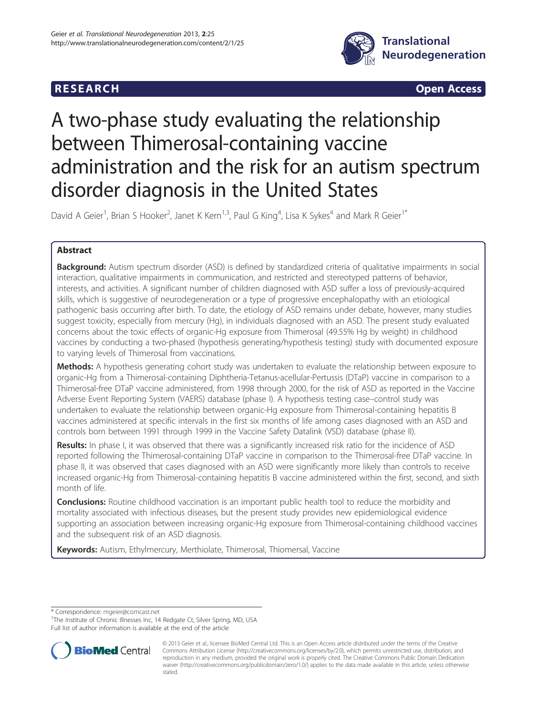# **RESEARCH RESEARCH CONSUMING ACCESS**



# A two-phase study evaluating the relationship between Thimerosal-containing vaccine administration and the risk for an autism spectrum disorder diagnosis in the United States

David A Geier<sup>1</sup>, Brian S Hooker<sup>2</sup>, Janet K Kern<sup>1,3</sup>, Paul G King<sup>4</sup>, Lisa K Sykes<sup>4</sup> and Mark R Geier<sup>1\*</sup>

# Abstract

**Background:** Autism spectrum disorder (ASD) is defined by standardized criteria of qualitative impairments in social interaction, qualitative impairments in communication, and restricted and stereotyped patterns of behavior, interests, and activities. A significant number of children diagnosed with ASD suffer a loss of previously-acquired skills, which is suggestive of neurodegeneration or a type of progressive encephalopathy with an etiological pathogenic basis occurring after birth. To date, the etiology of ASD remains under debate, however, many studies suggest toxicity, especially from mercury (Hg), in individuals diagnosed with an ASD. The present study evaluated concerns about the toxic effects of organic-Hg exposure from Thimerosal (49.55% Hg by weight) in childhood vaccines by conducting a two-phased (hypothesis generating/hypothesis testing) study with documented exposure to varying levels of Thimerosal from vaccinations.

**Methods:** A hypothesis generating cohort study was undertaken to evaluate the relationship between exposure to organic-Hg from a Thimerosal-containing Diphtheria-Tetanus-acellular-Pertussis (DTaP) vaccine in comparison to a Thimerosal-free DTaP vaccine administered, from 1998 through 2000, for the risk of ASD as reported in the Vaccine Adverse Event Reporting System (VAERS) database (phase I). A hypothesis testing case–control study was undertaken to evaluate the relationship between organic-Hg exposure from Thimerosal-containing hepatitis B vaccines administered at specific intervals in the first six months of life among cases diagnosed with an ASD and controls born between 1991 through 1999 in the Vaccine Safety Datalink (VSD) database (phase II).

Results: In phase I, it was observed that there was a significantly increased risk ratio for the incidence of ASD reported following the Thimerosal-containing DTaP vaccine in comparison to the Thimerosal-free DTaP vaccine. In phase II, it was observed that cases diagnosed with an ASD were significantly more likely than controls to receive increased organic-Hg from Thimerosal-containing hepatitis B vaccine administered within the first, second, and sixth month of life.

**Conclusions:** Routine childhood vaccination is an important public health tool to reduce the morbidity and mortality associated with infectious diseases, but the present study provides new epidemiological evidence supporting an association between increasing organic-Hg exposure from Thimerosal-containing childhood vaccines and the subsequent risk of an ASD diagnosis.

Keywords: Autism, Ethylmercury, Merthiolate, Thimerosal, Thiomersal, Vaccine

\* Correspondence: [mgeier@comcast.net](mailto:mgeier@comcast.net) <sup>1</sup>

<sup>1</sup>The Institute of Chronic Illnesses Inc, 14 Redgate Ct, Silver Spring, MD, USA Full list of author information is available at the end of the article



<sup>© 2013</sup> Geier et al.; licensee BioMed Central Ltd. This is an Open Access article distributed under the terms of the Creative Commons Attribution License [\(http://creativecommons.org/licenses/by/2.0\)](http://creativecommons.org/licenses/by/2.0), which permits unrestricted use, distribution, and reproduction in any medium, provided the original work is properly cited. The Creative Commons Public Domain Dedication waiver [\(http://creativecommons.org/publicdomain/zero/1.0/\)](http://creativecommons.org/publicdomain/zero/1.0/) applies to the data made available in this article, unless otherwise stated.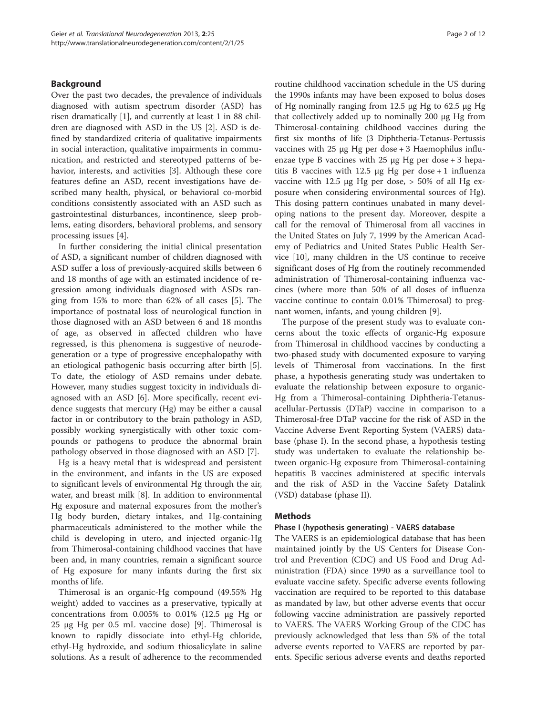## Background

Over the past two decades, the prevalence of individuals diagnosed with autism spectrum disorder (ASD) has risen dramatically [[1\]](#page-10-0), and currently at least 1 in 88 children are diagnosed with ASD in the US [[2\]](#page-10-0). ASD is defined by standardized criteria of qualitative impairments in social interaction, qualitative impairments in communication, and restricted and stereotyped patterns of behavior, interests, and activities [[3\]](#page-10-0). Although these core features define an ASD, recent investigations have described many health, physical, or behavioral co-morbid conditions consistently associated with an ASD such as gastrointestinal disturbances, incontinence, sleep problems, eating disorders, behavioral problems, and sensory processing issues [\[4](#page-10-0)].

In further considering the initial clinical presentation of ASD, a significant number of children diagnosed with ASD suffer a loss of previously-acquired skills between 6 and 18 months of age with an estimated incidence of regression among individuals diagnosed with ASDs ranging from 15% to more than 62% of all cases [[5\]](#page-10-0). The importance of postnatal loss of neurological function in those diagnosed with an ASD between 6 and 18 months of age, as observed in affected children who have regressed, is this phenomena is suggestive of neurodegeneration or a type of progressive encephalopathy with an etiological pathogenic basis occurring after birth [\[5](#page-10-0)]. To date, the etiology of ASD remains under debate. However, many studies suggest toxicity in individuals diagnosed with an ASD [\[6](#page-10-0)]. More specifically, recent evidence suggests that mercury (Hg) may be either a causal factor in or contributory to the brain pathology in ASD, possibly working synergistically with other toxic compounds or pathogens to produce the abnormal brain pathology observed in those diagnosed with an ASD [\[7](#page-10-0)].

Hg is a heavy metal that is widespread and persistent in the environment, and infants in the US are exposed to significant levels of environmental Hg through the air, water, and breast milk [\[8\]](#page-10-0). In addition to environmental Hg exposure and maternal exposures from the mother's Hg body burden, dietary intakes, and Hg-containing pharmaceuticals administered to the mother while the child is developing in utero, and injected organic-Hg from Thimerosal-containing childhood vaccines that have been and, in many countries, remain a significant source of Hg exposure for many infants during the first six months of life.

Thimerosal is an organic-Hg compound (49.55% Hg weight) added to vaccines as a preservative, typically at concentrations from 0.005% to 0.01% (12.5 μg Hg or 25 μg Hg per 0.5 mL vaccine dose) [\[9](#page-10-0)]. Thimerosal is known to rapidly dissociate into ethyl-Hg chloride, ethyl-Hg hydroxide, and sodium thiosalicylate in saline solutions. As a result of adherence to the recommended

routine childhood vaccination schedule in the US during the 1990s infants may have been exposed to bolus doses of Hg nominally ranging from 12.5 μg Hg to 62.5 μg Hg that collectively added up to nominally 200 μg Hg from Thimerosal-containing childhood vaccines during the first six months of life (3 Diphtheria-Tetanus-Pertussis vaccines with 25 μg Hg per dose + 3 Haemophilus influenzae type B vaccines with 25  $\mu$ g Hg per dose + 3 hepatitis B vaccines with 12.5 μg Hg per dose + 1 influenza vaccine with 12.5 μg Hg per dose, > 50% of all Hg exposure when considering environmental sources of Hg). This dosing pattern continues unabated in many developing nations to the present day. Moreover, despite a call for the removal of Thimerosal from all vaccines in the United States on July 7, 1999 by the American Academy of Pediatrics and United States Public Health Service [[10\]](#page-10-0), many children in the US continue to receive significant doses of Hg from the routinely recommended administration of Thimerosal-containing influenza vaccines (where more than 50% of all doses of influenza vaccine continue to contain 0.01% Thimerosal) to pregnant women, infants, and young children [[9\]](#page-10-0).

The purpose of the present study was to evaluate concerns about the toxic effects of organic-Hg exposure from Thimerosal in childhood vaccines by conducting a two-phased study with documented exposure to varying levels of Thimerosal from vaccinations. In the first phase, a hypothesis generating study was undertaken to evaluate the relationship between exposure to organic-Hg from a Thimerosal-containing Diphtheria-Tetanusacellular-Pertussis (DTaP) vaccine in comparison to a Thimerosal-free DTaP vaccine for the risk of ASD in the Vaccine Adverse Event Reporting System (VAERS) database (phase I). In the second phase, a hypothesis testing study was undertaken to evaluate the relationship between organic-Hg exposure from Thimerosal-containing hepatitis B vaccines administered at specific intervals and the risk of ASD in the Vaccine Safety Datalink (VSD) database (phase II).

#### Methods

### Phase I (hypothesis generating) - VAERS database

The VAERS is an epidemiological database that has been maintained jointly by the US Centers for Disease Control and Prevention (CDC) and US Food and Drug Administration (FDA) since 1990 as a surveillance tool to evaluate vaccine safety. Specific adverse events following vaccination are required to be reported to this database as mandated by law, but other adverse events that occur following vaccine administration are passively reported to VAERS. The VAERS Working Group of the CDC has previously acknowledged that less than 5% of the total adverse events reported to VAERS are reported by parents. Specific serious adverse events and deaths reported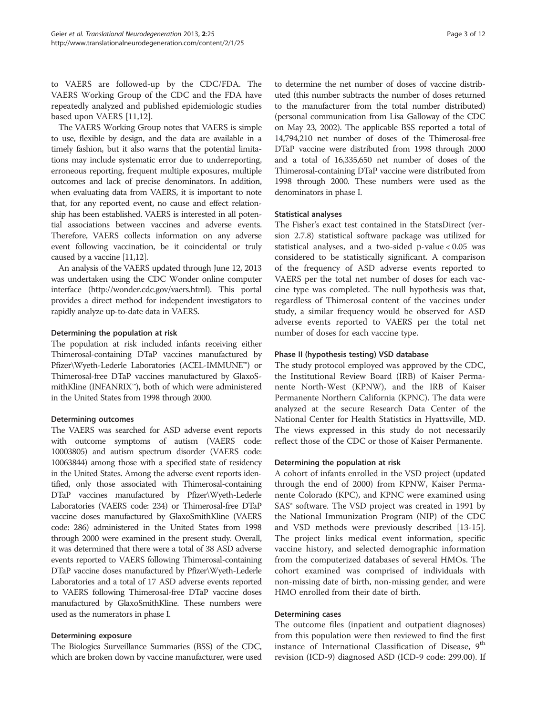to VAERS are followed-up by the CDC/FDA. The VAERS Working Group of the CDC and the FDA have repeatedly analyzed and published epidemiologic studies based upon VAERS [\[11,12](#page-10-0)].

The VAERS Working Group notes that VAERS is simple to use, flexible by design, and the data are available in a timely fashion, but it also warns that the potential limitations may include systematic error due to underreporting, erroneous reporting, frequent multiple exposures, multiple outcomes and lack of precise denominators. In addition, when evaluating data from VAERS, it is important to note that, for any reported event, no cause and effect relationship has been established. VAERS is interested in all potential associations between vaccines and adverse events. Therefore, VAERS collects information on any adverse event following vaccination, be it coincidental or truly caused by a vaccine [[11,12](#page-10-0)].

An analysis of the VAERS updated through June 12, 2013 was undertaken using the CDC Wonder online computer interface [\(http://wonder.cdc.gov/vaers.html\)](http://wonder.cdc.gov/vaers.html). This portal provides a direct method for independent investigators to rapidly analyze up-to-date data in VAERS.

### Determining the population at risk

The population at risk included infants receiving either Thimerosal-containing DTaP vaccines manufactured by Pfizer\Wyeth-Lederle Laboratories (ACEL-IMMUNE™) or Thimerosal-free DTaP vaccines manufactured by GlaxoSmithKline (INFANRIX™), both of which were administered in the United States from 1998 through 2000.

#### Determining outcomes

The VAERS was searched for ASD adverse event reports with outcome symptoms of autism (VAERS code: 10003805) and autism spectrum disorder (VAERS code: 10063844) among those with a specified state of residency in the United States. Among the adverse event reports identified, only those associated with Thimerosal-containing DTaP vaccines manufactured by Pfizer\Wyeth-Lederle Laboratories (VAERS code: 234) or Thimerosal-free DTaP vaccine doses manufactured by GlaxoSmithKline (VAERS code: 286) administered in the United States from 1998 through 2000 were examined in the present study. Overall, it was determined that there were a total of 38 ASD adverse events reported to VAERS following Thimerosal-containing DTaP vaccine doses manufactured by Pfizer\Wyeth-Lederle Laboratories and a total of 17 ASD adverse events reported to VAERS following Thimerosal-free DTaP vaccine doses manufactured by GlaxoSmithKline. These numbers were used as the numerators in phase I.

#### Determining exposure

The Biologics Surveillance Summaries (BSS) of the CDC, which are broken down by vaccine manufacturer, were used

to determine the net number of doses of vaccine distributed (this number subtracts the number of doses returned to the manufacturer from the total number distributed) (personal communication from Lisa Galloway of the CDC on May 23, 2002). The applicable BSS reported a total of 14,794,210 net number of doses of the Thimerosal-free DTaP vaccine were distributed from 1998 through 2000 and a total of 16,335,650 net number of doses of the Thimerosal-containing DTaP vaccine were distributed from 1998 through 2000. These numbers were used as the denominators in phase I.

# Statistical analyses

The Fisher's exact test contained in the StatsDirect (version 2.7.8) statistical software package was utilized for statistical analyses, and a two-sided p-value < 0.05 was considered to be statistically significant. A comparison of the frequency of ASD adverse events reported to VAERS per the total net number of doses for each vaccine type was completed. The null hypothesis was that, regardless of Thimerosal content of the vaccines under study, a similar frequency would be observed for ASD adverse events reported to VAERS per the total net number of doses for each vaccine type.

## Phase II (hypothesis testing) VSD database

The study protocol employed was approved by the CDC, the Institutional Review Board (IRB) of Kaiser Permanente North-West (KPNW), and the IRB of Kaiser Permanente Northern California (KPNC). The data were analyzed at the secure Research Data Center of the National Center for Health Statistics in Hyattsville, MD. The views expressed in this study do not necessarily reflect those of the CDC or those of Kaiser Permanente.

# Determining the population at risk

A cohort of infants enrolled in the VSD project (updated through the end of 2000) from KPNW, Kaiser Permanente Colorado (KPC), and KPNC were examined using SAS® software. The VSD project was created in 1991 by the National Immunization Program (NIP) of the CDC and VSD methods were previously described [\[13-15](#page-10-0)]. The project links medical event information, specific vaccine history, and selected demographic information from the computerized databases of several HMOs. The cohort examined was comprised of individuals with non-missing date of birth, non-missing gender, and were HMO enrolled from their date of birth.

#### Determining cases

The outcome files (inpatient and outpatient diagnoses) from this population were then reviewed to find the first instance of International Classification of Disease, 9<sup>th</sup> revision (ICD-9) diagnosed ASD (ICD-9 code: 299.00). If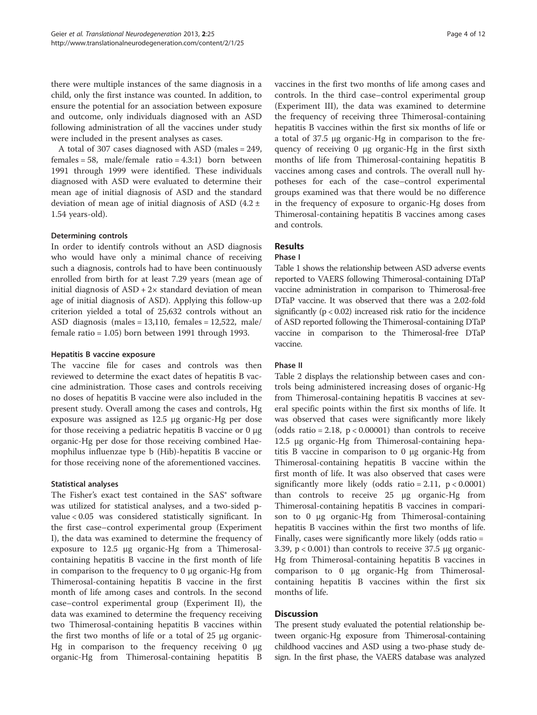there were multiple instances of the same diagnosis in a child, only the first instance was counted. In addition, to ensure the potential for an association between exposure and outcome, only individuals diagnosed with an ASD following administration of all the vaccines under study were included in the present analyses as cases.

A total of 307 cases diagnosed with ASD (males = 249, females = 58, male/female ratio =  $4.3:1$ ) born between 1991 through 1999 were identified. These individuals diagnosed with ASD were evaluated to determine their mean age of initial diagnosis of ASD and the standard deviation of mean age of initial diagnosis of ASD  $(4.2 \pm 1)$ 1.54 years-old).

### Determining controls

In order to identify controls without an ASD diagnosis who would have only a minimal chance of receiving such a diagnosis, controls had to have been continuously enrolled from birth for at least 7.29 years (mean age of initial diagnosis of  $ASD + 2x$  standard deviation of mean age of initial diagnosis of ASD). Applying this follow-up criterion yielded a total of 25,632 controls without an ASD diagnosis (males =  $13,110$ , females =  $12,522$ , male/ female ratio = 1.05) born between 1991 through 1993.

#### Hepatitis B vaccine exposure

The vaccine file for cases and controls was then reviewed to determine the exact dates of hepatitis B vaccine administration. Those cases and controls receiving no doses of hepatitis B vaccine were also included in the present study. Overall among the cases and controls, Hg exposure was assigned as 12.5 μg organic-Hg per dose for those receiving a pediatric hepatitis B vaccine or 0 μg organic-Hg per dose for those receiving combined Haemophilus influenzae type b (Hib)-hepatitis B vaccine or for those receiving none of the aforementioned vaccines.

# Statistical analyses

The Fisher's exact test contained in the SAS® software was utilized for statistical analyses, and a two-sided pvalue < 0.05 was considered statistically significant. In the first case–control experimental group (Experiment I), the data was examined to determine the frequency of exposure to 12.5 μg organic-Hg from a Thimerosalcontaining hepatitis B vaccine in the first month of life in comparison to the frequency to 0 μg organic-Hg from Thimerosal-containing hepatitis B vaccine in the first month of life among cases and controls. In the second case–control experimental group (Experiment II), the data was examined to determine the frequency receiving two Thimerosal-containing hepatitis B vaccines within the first two months of life or a total of 25 μg organic-Hg in comparison to the frequency receiving 0 μg organic-Hg from Thimerosal-containing hepatitis B vaccines in the first two months of life among cases and controls. In the third case–control experimental group (Experiment III), the data was examined to determine the frequency of receiving three Thimerosal-containing hepatitis B vaccines within the first six months of life or a total of 37.5 μg organic-Hg in comparison to the frequency of receiving 0 μg organic-Hg in the first sixth months of life from Thimerosal-containing hepatitis B vaccines among cases and controls. The overall null hypotheses for each of the case–control experimental groups examined was that there would be no difference in the frequency of exposure to organic-Hg doses from Thimerosal-containing hepatitis B vaccines among cases and controls.

# Results

#### Phase I

Table [1](#page-4-0) shows the relationship between ASD adverse events reported to VAERS following Thimerosal-containing DTaP vaccine administration in comparison to Thimerosal-free DTaP vaccine. It was observed that there was a 2.02-fold significantly (p < 0.02) increased risk ratio for the incidence of ASD reported following the Thimerosal-containing DTaP vaccine in comparison to the Thimerosal-free DTaP vaccine.

#### Phase II

Table [2](#page-4-0) displays the relationship between cases and controls being administered increasing doses of organic-Hg from Thimerosal-containing hepatitis B vaccines at several specific points within the first six months of life. It was observed that cases were significantly more likely (odds ratio = 2.18,  $p < 0.00001$ ) than controls to receive 12.5 μg organic-Hg from Thimerosal-containing hepatitis B vaccine in comparison to 0 μg organic-Hg from Thimerosal-containing hepatitis B vaccine within the first month of life. It was also observed that cases were significantly more likely (odds ratio = 2.11,  $p < 0.0001$ ) than controls to receive 25 μg organic-Hg from Thimerosal-containing hepatitis B vaccines in comparison to 0 μg organic-Hg from Thimerosal-containing hepatitis B vaccines within the first two months of life. Finally, cases were significantly more likely (odds ratio = 3.39, p < 0.001) than controls to receive 37.5 μg organic-Hg from Thimerosal-containing hepatitis B vaccines in comparison to 0 μg organic-Hg from Thimerosalcontaining hepatitis B vaccines within the first six months of life.

# Discussion

The present study evaluated the potential relationship between organic-Hg exposure from Thimerosal-containing childhood vaccines and ASD using a two-phase study design. In the first phase, the VAERS database was analyzed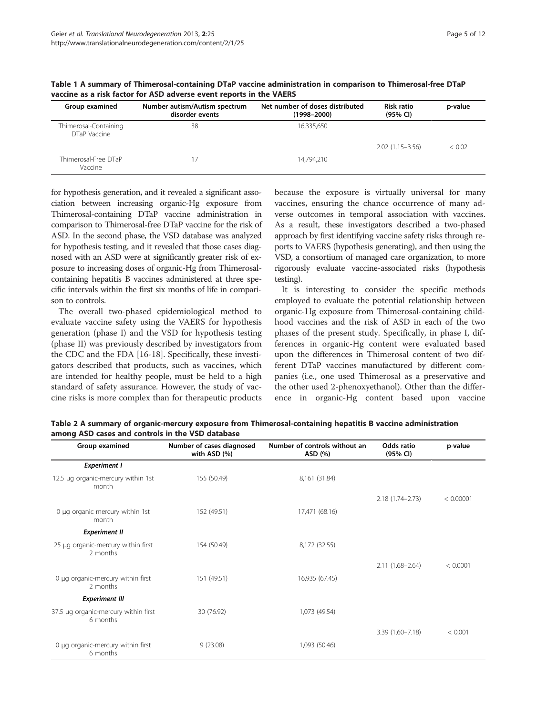| Group examined                        | Number autism/Autism spectrum<br>disorder events | Net number of doses distributed<br>$(1998 - 2000)$ | <b>Risk ratio</b><br>(95% CI) | p-value |
|---------------------------------------|--------------------------------------------------|----------------------------------------------------|-------------------------------|---------|
| Thimerosal-Containing<br>DTaP Vaccine | 38                                               | 16,335,650                                         |                               |         |
|                                       |                                                  |                                                    | $2.02(1.15 - 3.56)$           | < 0.02  |
| Thimerosal-Free DTaP<br>Vaccine       |                                                  | 14.794.210                                         |                               |         |

<span id="page-4-0"></span>Table 1 A summary of Thimerosal-containing DTaP vaccine administration in comparison to Thimerosal-free DTaP vaccine as a risk factor for ASD adverse event reports in the VAERS

for hypothesis generation, and it revealed a significant association between increasing organic-Hg exposure from Thimerosal-containing DTaP vaccine administration in comparison to Thimerosal-free DTaP vaccine for the risk of ASD. In the second phase, the VSD database was analyzed for hypothesis testing, and it revealed that those cases diagnosed with an ASD were at significantly greater risk of exposure to increasing doses of organic-Hg from Thimerosalcontaining hepatitis B vaccines administered at three specific intervals within the first six months of life in comparison to controls.

The overall two-phased epidemiological method to evaluate vaccine safety using the VAERS for hypothesis generation (phase I) and the VSD for hypothesis testing (phase II) was previously described by investigators from the CDC and the FDA [[16-18\]](#page-10-0). Specifically, these investigators described that products, such as vaccines, which are intended for healthy people, must be held to a high standard of safety assurance. However, the study of vaccine risks is more complex than for therapeutic products

because the exposure is virtually universal for many vaccines, ensuring the chance occurrence of many adverse outcomes in temporal association with vaccines. As a result, these investigators described a two-phased approach by first identifying vaccine safety risks through reports to VAERS (hypothesis generating), and then using the VSD, a consortium of managed care organization, to more rigorously evaluate vaccine-associated risks (hypothesis testing).

It is interesting to consider the specific methods employed to evaluate the potential relationship between organic-Hg exposure from Thimerosal-containing childhood vaccines and the risk of ASD in each of the two phases of the present study. Specifically, in phase I, differences in organic-Hg content were evaluated based upon the differences in Thimerosal content of two different DTaP vaccines manufactured by different companies (i.e., one used Thimerosal as a preservative and the other used 2-phenoxyethanol). Other than the difference in organic-Hg content based upon vaccine

| Group examined                                   | Number of cases diagnosed<br>with ASD (%) | Number of controls without an<br>ASD (%) | Odds ratio<br>(95% CI) | p-value   |
|--------------------------------------------------|-------------------------------------------|------------------------------------------|------------------------|-----------|
| <b>Experiment I</b>                              |                                           |                                          |                        |           |
| 12.5 µg organic-mercury within 1st<br>month      | 155 (50.49)                               | 8,161 (31.84)                            |                        |           |
|                                                  |                                           |                                          | 2.18 (1.74-2.73)       | < 0.00001 |
| 0 µg organic mercury within 1st<br>month         | 152 (49.51)                               | 17,471 (68.16)                           |                        |           |
| <b>Experiment II</b>                             |                                           |                                          |                        |           |
| 25 µg organic-mercury within first<br>2 months   | 154 (50.49)                               | 8,172 (32.55)                            |                        |           |
|                                                  |                                           |                                          | 2.11 (1.68-2.64)       | < 0.0001  |
| 0 µg organic-mercury within first<br>2 months    | 151 (49.51)                               | 16,935 (67.45)                           |                        |           |
| <b>Experiment III</b>                            |                                           |                                          |                        |           |
| 37.5 µg organic-mercury within first<br>6 months | 30 (76.92)                                | 1,073 (49.54)                            |                        |           |
|                                                  |                                           |                                          | 3.39 (1.60-7.18)       | < 0.001   |
| 0 µg organic-mercury within first<br>6 months    | 9(23.08)                                  | 1,093 (50.46)                            |                        |           |

Table 2 A summary of organic-mercury exposure from Thimerosal-containing hepatitis B vaccine administration among ASD cases and controls in the VSD database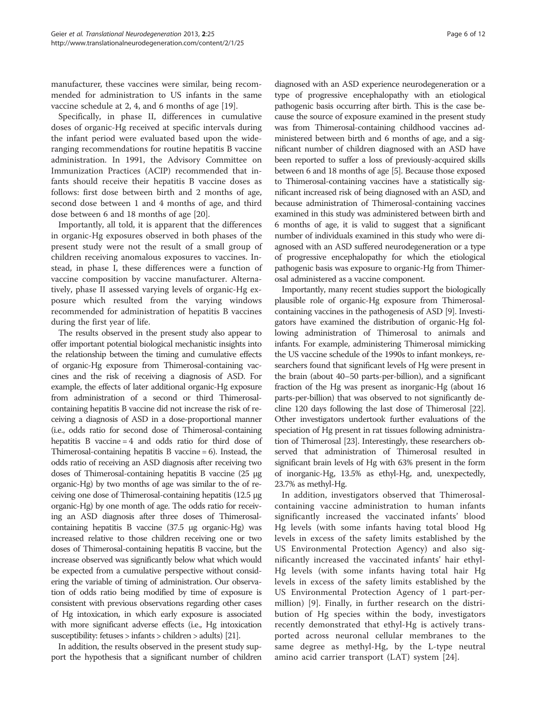manufacturer, these vaccines were similar, being recommended for administration to US infants in the same vaccine schedule at 2, 4, and 6 months of age [[19\]](#page-10-0).

Specifically, in phase II, differences in cumulative doses of organic-Hg received at specific intervals during the infant period were evaluated based upon the wideranging recommendations for routine hepatitis B vaccine administration. In 1991, the Advisory Committee on Immunization Practices (ACIP) recommended that infants should receive their hepatitis B vaccine doses as follows: first dose between birth and 2 months of age, second dose between 1 and 4 months of age, and third dose between 6 and 18 months of age [[20\]](#page-10-0).

Importantly, all told, it is apparent that the differences in organic-Hg exposures observed in both phases of the present study were not the result of a small group of children receiving anomalous exposures to vaccines. Instead, in phase I, these differences were a function of vaccine composition by vaccine manufacturer. Alternatively, phase II assessed varying levels of organic-Hg exposure which resulted from the varying windows recommended for administration of hepatitis B vaccines during the first year of life.

The results observed in the present study also appear to offer important potential biological mechanistic insights into the relationship between the timing and cumulative effects of organic-Hg exposure from Thimerosal-containing vaccines and the risk of receiving a diagnosis of ASD. For example, the effects of later additional organic-Hg exposure from administration of a second or third Thimerosalcontaining hepatitis B vaccine did not increase the risk of receiving a diagnosis of ASD in a dose-proportional manner (i.e., odds ratio for second dose of Thimerosal-containing hepatitis B vaccine = 4 and odds ratio for third dose of Thimerosal-containing hepatitis B vaccine = 6). Instead, the odds ratio of receiving an ASD diagnosis after receiving two doses of Thimerosal-containing hepatitis B vaccine (25 μg organic-Hg) by two months of age was similar to the of receiving one dose of Thimerosal-containing hepatitis (12.5 μg organic-Hg) by one month of age. The odds ratio for receiving an ASD diagnosis after three doses of Thimerosalcontaining hepatitis B vaccine (37.5 μg organic-Hg) was increased relative to those children receiving one or two doses of Thimerosal-containing hepatitis B vaccine, but the increase observed was significantly below what which would be expected from a cumulative perspective without considering the variable of timing of administration. Our observation of odds ratio being modified by time of exposure is consistent with previous observations regarding other cases of Hg intoxication, in which early exposure is associated with more significant adverse effects (i.e., Hg intoxication susceptibility: fetuses > infants > children > adults) [[21\]](#page-10-0).

In addition, the results observed in the present study support the hypothesis that a significant number of children

diagnosed with an ASD experience neurodegeneration or a type of progressive encephalopathy with an etiological pathogenic basis occurring after birth. This is the case because the source of exposure examined in the present study was from Thimerosal-containing childhood vaccines administered between birth and 6 months of age, and a significant number of children diagnosed with an ASD have been reported to suffer a loss of previously-acquired skills between 6 and 18 months of age [\[5\]](#page-10-0). Because those exposed to Thimerosal-containing vaccines have a statistically significant increased risk of being diagnosed with an ASD, and because administration of Thimerosal-containing vaccines examined in this study was administered between birth and 6 months of age, it is valid to suggest that a significant number of individuals examined in this study who were diagnosed with an ASD suffered neurodegeneration or a type of progressive encephalopathy for which the etiological pathogenic basis was exposure to organic-Hg from Thimerosal administered as a vaccine component.

Importantly, many recent studies support the biologically plausible role of organic-Hg exposure from Thimerosalcontaining vaccines in the pathogenesis of ASD [\[9\]](#page-10-0). Investigators have examined the distribution of organic-Hg following administration of Thimerosal to animals and infants. For example, administering Thimerosal mimicking the US vaccine schedule of the 1990s to infant monkeys, researchers found that significant levels of Hg were present in the brain (about 40–50 parts-per-billion), and a significant fraction of the Hg was present as inorganic-Hg (about 16 parts-per-billion) that was observed to not significantly decline 120 days following the last dose of Thimerosal [\[22](#page-10-0)]. Other investigators undertook further evaluations of the speciation of Hg present in rat tissues following administration of Thimerosal [\[23\]](#page-10-0). Interestingly, these researchers observed that administration of Thimerosal resulted in significant brain levels of Hg with 63% present in the form of inorganic-Hg, 13.5% as ethyl-Hg, and, unexpectedly, 23.7% as methyl-Hg.

In addition, investigators observed that Thimerosalcontaining vaccine administration to human infants significantly increased the vaccinated infants' blood Hg levels (with some infants having total blood Hg levels in excess of the safety limits established by the US Environmental Protection Agency) and also significantly increased the vaccinated infants' hair ethyl-Hg levels (with some infants having total hair Hg levels in excess of the safety limits established by the US Environmental Protection Agency of 1 part-permillion) [\[9](#page-10-0)]. Finally, in further research on the distribution of Hg species within the body, investigators recently demonstrated that ethyl-Hg is actively transported across neuronal cellular membranes to the same degree as methyl-Hg, by the L-type neutral amino acid carrier transport (LAT) system [\[24](#page-10-0)].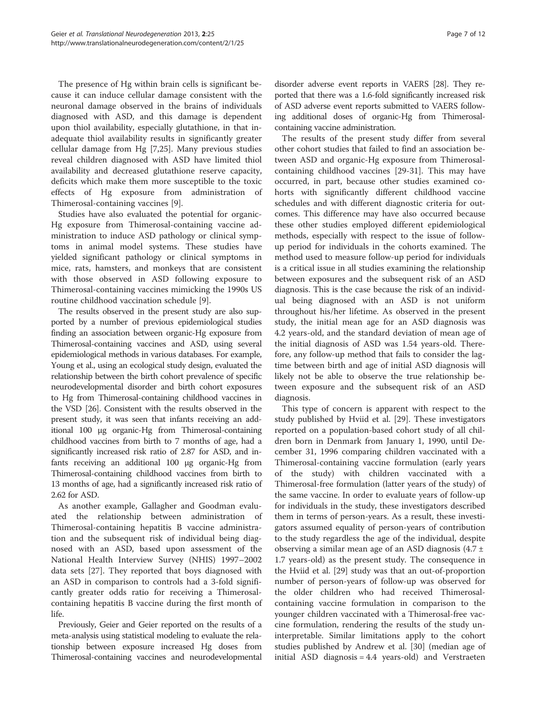The presence of Hg within brain cells is significant because it can induce cellular damage consistent with the neuronal damage observed in the brains of individuals diagnosed with ASD, and this damage is dependent upon thiol availability, especially glutathione, in that inadequate thiol availability results in significantly greater cellular damage from Hg [[7,25\]](#page-10-0). Many previous studies reveal children diagnosed with ASD have limited thiol availability and decreased glutathione reserve capacity, deficits which make them more susceptible to the toxic effects of Hg exposure from administration Thimerosal-containing vaccines [[9\]](#page-10-0).

Studies have also evaluated the potential for organic-Hg exposure from Thimerosal-containing vaccine administration to induce ASD pathology or clinical symptoms in animal model systems. These studies have yielded significant pathology or clinical symptoms in mice, rats, hamsters, and monkeys that are consistent with those observed in ASD following exposure to Thimerosal-containing vaccines mimicking the 1990s US routine childhood vaccination schedule [[9\]](#page-10-0).

The results observed in the present study are also supported by a number of previous epidemiological studies finding an association between organic-Hg exposure from Thimerosal-containing vaccines and ASD, using several epidemiological methods in various databases. For example, Young et al., using an ecological study design, evaluated the relationship between the birth cohort prevalence of specific neurodevelopmental disorder and birth cohort exposures to Hg from Thimerosal-containing childhood vaccines in the VSD [[26\]](#page-10-0). Consistent with the results observed in the present study, it was seen that infants receiving an additional 100 μg organic-Hg from Thimerosal-containing childhood vaccines from birth to 7 months of age, had a significantly increased risk ratio of 2.87 for ASD, and infants receiving an additional 100 μg organic-Hg from Thimerosal-containing childhood vaccines from birth to 13 months of age, had a significantly increased risk ratio of 2.62 for ASD.

As another example, Gallagher and Goodman evaluated the relationship between administration Thimerosal-containing hepatitis B vaccine administration and the subsequent risk of individual being diagnosed with an ASD, based upon assessment of the National Health Interview Survey (NHIS) 1997–2002 data sets [\[27\]](#page-10-0). They reported that boys diagnosed with an ASD in comparison to controls had a 3-fold significantly greater odds ratio for receiving a Thimerosalcontaining hepatitis B vaccine during the first month of life.

Previously, Geier and Geier reported on the results of a meta-analysis using statistical modeling to evaluate the relationship between exposure increased Hg doses from Thimerosal-containing vaccines and neurodevelopmental

disorder adverse event reports in VAERS [\[28\]](#page-10-0). They reported that there was a 1.6-fold significantly increased risk of ASD adverse event reports submitted to VAERS following additional doses of organic-Hg from Thimerosalcontaining vaccine administration.

The results of the present study differ from several other cohort studies that failed to find an association between ASD and organic-Hg exposure from Thimerosalcontaining childhood vaccines [\[29](#page-10-0)[-31](#page-11-0)]. This may have occurred, in part, because other studies examined cohorts with significantly different childhood vaccine schedules and with different diagnostic criteria for outcomes. This difference may have also occurred because these other studies employed different epidemiological methods, especially with respect to the issue of followup period for individuals in the cohorts examined. The method used to measure follow-up period for individuals is a critical issue in all studies examining the relationship between exposures and the subsequent risk of an ASD diagnosis. This is the case because the risk of an individual being diagnosed with an ASD is not uniform throughout his/her lifetime. As observed in the present study, the initial mean age for an ASD diagnosis was 4.2 years-old, and the standard deviation of mean age of the initial diagnosis of ASD was 1.54 years-old. Therefore, any follow-up method that fails to consider the lagtime between birth and age of initial ASD diagnosis will likely not be able to observe the true relationship between exposure and the subsequent risk of an ASD diagnosis.

This type of concern is apparent with respect to the study published by Hviid et al. [\[29](#page-10-0)]. These investigators reported on a population-based cohort study of all children born in Denmark from January 1, 1990, until December 31, 1996 comparing children vaccinated with a Thimerosal-containing vaccine formulation (early years of the study) with children vaccinated with a Thimerosal-free formulation (latter years of the study) of the same vaccine. In order to evaluate years of follow-up for individuals in the study, these investigators described them in terms of person-years. As a result, these investigators assumed equality of person-years of contribution to the study regardless the age of the individual, despite observing a similar mean age of an ASD diagnosis  $(4.7 \pm 1)$ 1.7 years-old) as the present study. The consequence in the Hviid et al. [\[29\]](#page-10-0) study was that an out-of-proportion number of person-years of follow-up was observed for the older children who had received Thimerosalcontaining vaccine formulation in comparison to the younger children vaccinated with a Thimerosal-free vaccine formulation, rendering the results of the study uninterpretable. Similar limitations apply to the cohort studies published by Andrew et al. [[30](#page-10-0)] (median age of initial ASD diagnosis = 4.4 years-old) and Verstraeten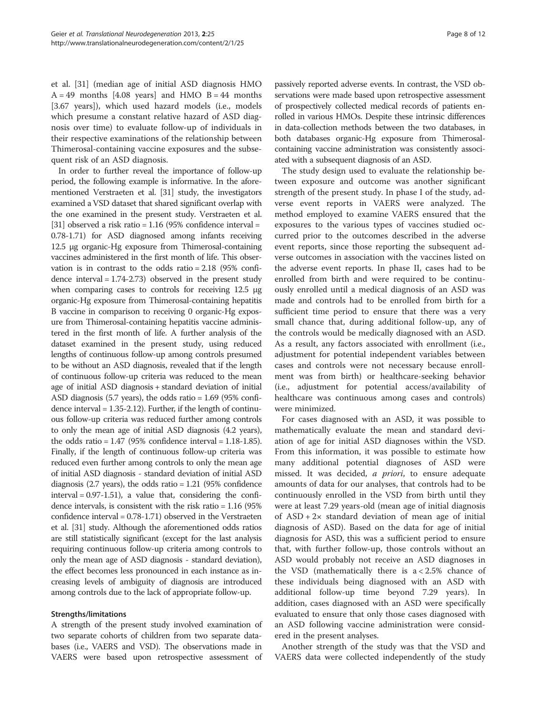et al. [[31\]](#page-11-0) (median age of initial ASD diagnosis HMO  $A = 49$  months [4.08 years] and HMO B = 44 months [3.67 years]), which used hazard models (i.e., models which presume a constant relative hazard of ASD diagnosis over time) to evaluate follow-up of individuals in their respective examinations of the relationship between Thimerosal-containing vaccine exposures and the subsequent risk of an ASD diagnosis.

In order to further reveal the importance of follow-up period, the following example is informative. In the aforementioned Verstraeten et al. [[31](#page-11-0)] study, the investigators examined a VSD dataset that shared significant overlap with the one examined in the present study. Verstraeten et al. [[31](#page-11-0)] observed a risk ratio =  $1.16$  (95% confidence interval = 0.78-1.71) for ASD diagnosed among infants receiving 12.5 μg organic-Hg exposure from Thimerosal-containing vaccines administered in the first month of life. This observation is in contrast to the odds ratio = 2.18 (95% confidence interval  $= 1.74 - 2.73$ ) observed in the present study when comparing cases to controls for receiving 12.5 μg organic-Hg exposure from Thimerosal-containing hepatitis B vaccine in comparison to receiving 0 organic-Hg exposure from Thimerosal-containing hepatitis vaccine administered in the first month of life. A further analysis of the dataset examined in the present study, using reduced lengths of continuous follow-up among controls presumed to be without an ASD diagnosis, revealed that if the length of continuous follow-up criteria was reduced to the mean age of initial ASD diagnosis + standard deviation of initial ASD diagnosis (5.7 years), the odds ratio = 1.69 (95% confidence interval = 1.35-2.12). Further, if the length of continuous follow-up criteria was reduced further among controls to only the mean age of initial ASD diagnosis (4.2 years), the odds ratio =  $1.47$  (95% confidence interval =  $1.18-1.85$ ). Finally, if the length of continuous follow-up criteria was reduced even further among controls to only the mean age of initial ASD diagnosis - standard deviation of initial ASD diagnosis (2.7 years), the odds ratio  $= 1.21$  (95% confidence interval = 0.97-1.51), a value that, considering the confidence intervals, is consistent with the risk ratio = 1.16 (95% confidence interval = 0.78-1.71) observed in the Verstraeten et al. [[31\]](#page-11-0) study. Although the aforementioned odds ratios are still statistically significant (except for the last analysis requiring continuous follow-up criteria among controls to only the mean age of ASD diagnosis - standard deviation), the effect becomes less pronounced in each instance as increasing levels of ambiguity of diagnosis are introduced among controls due to the lack of appropriate follow-up.

#### Strengths/limitations

A strength of the present study involved examination of two separate cohorts of children from two separate databases (i.e., VAERS and VSD). The observations made in VAERS were based upon retrospective assessment of passively reported adverse events. In contrast, the VSD observations were made based upon retrospective assessment of prospectively collected medical records of patients enrolled in various HMOs. Despite these intrinsic differences in data-collection methods between the two databases, in both databases organic-Hg exposure from Thimerosalcontaining vaccine administration was consistently associated with a subsequent diagnosis of an ASD.

The study design used to evaluate the relationship between exposure and outcome was another significant strength of the present study. In phase I of the study, adverse event reports in VAERS were analyzed. The method employed to examine VAERS ensured that the exposures to the various types of vaccines studied occurred prior to the outcomes described in the adverse event reports, since those reporting the subsequent adverse outcomes in association with the vaccines listed on the adverse event reports. In phase II, cases had to be enrolled from birth and were required to be continuously enrolled until a medical diagnosis of an ASD was made and controls had to be enrolled from birth for a sufficient time period to ensure that there was a very small chance that, during additional follow-up, any of the controls would be medically diagnosed with an ASD. As a result, any factors associated with enrollment (i.e., adjustment for potential independent variables between cases and controls were not necessary because enrollment was from birth) or healthcare-seeking behavior (i.e., adjustment for potential access/availability of healthcare was continuous among cases and controls) were minimized.

For cases diagnosed with an ASD, it was possible to mathematically evaluate the mean and standard deviation of age for initial ASD diagnoses within the VSD. From this information, it was possible to estimate how many additional potential diagnoses of ASD were missed. It was decided, *a priori*, to ensure adequate amounts of data for our analyses, that controls had to be continuously enrolled in the VSD from birth until they were at least 7.29 years-old (mean age of initial diagnosis of  $ASD + 2x$  standard deviation of mean age of initial diagnosis of ASD). Based on the data for age of initial diagnosis for ASD, this was a sufficient period to ensure that, with further follow-up, those controls without an ASD would probably not receive an ASD diagnoses in the VSD (mathematically there is  $a < 2.5\%$  chance of these individuals being diagnosed with an ASD with additional follow-up time beyond 7.29 years). In addition, cases diagnosed with an ASD were specifically evaluated to ensure that only those cases diagnosed with an ASD following vaccine administration were considered in the present analyses.

Another strength of the study was that the VSD and VAERS data were collected independently of the study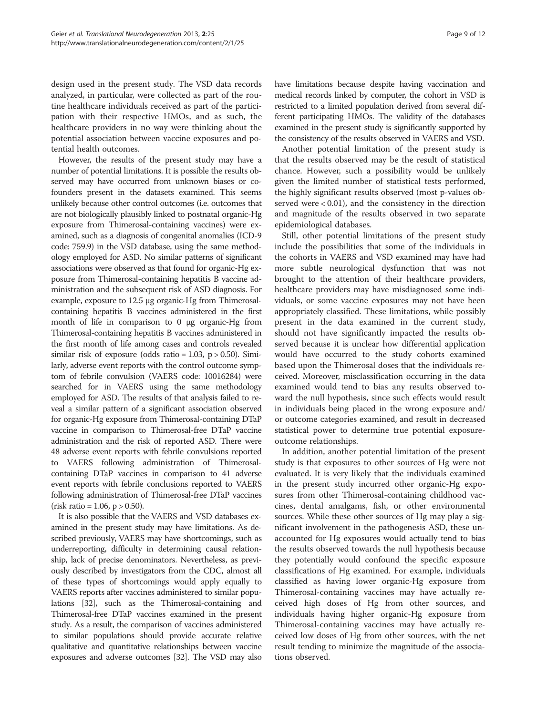design used in the present study. The VSD data records analyzed, in particular, were collected as part of the routine healthcare individuals received as part of the participation with their respective HMOs, and as such, the healthcare providers in no way were thinking about the potential association between vaccine exposures and potential health outcomes.

However, the results of the present study may have a number of potential limitations. It is possible the results observed may have occurred from unknown biases or cofounders present in the datasets examined. This seems unlikely because other control outcomes (i.e. outcomes that are not biologically plausibly linked to postnatal organic-Hg exposure from Thimerosal-containing vaccines) were examined, such as a diagnosis of congenital anomalies (ICD-9 code: 759.9) in the VSD database, using the same methodology employed for ASD. No similar patterns of significant associations were observed as that found for organic-Hg exposure from Thimerosal-containing hepatitis B vaccine administration and the subsequent risk of ASD diagnosis. For example, exposure to 12.5 μg organic-Hg from Thimerosalcontaining hepatitis B vaccines administered in the first month of life in comparison to 0 μg organic-Hg from Thimerosal-containing hepatitis B vaccines administered in the first month of life among cases and controls revealed similar risk of exposure (odds ratio =  $1.03$ , p >  $0.50$ ). Similarly, adverse event reports with the control outcome symptom of febrile convulsion (VAERS code: 10016284) were searched for in VAERS using the same methodology employed for ASD. The results of that analysis failed to reveal a similar pattern of a significant association observed for organic-Hg exposure from Thimerosal-containing DTaP vaccine in comparison to Thimerosal-free DTaP vaccine administration and the risk of reported ASD. There were 48 adverse event reports with febrile convulsions reported to VAERS following administration of Thimerosalcontaining DTaP vaccines in comparison to 41 adverse event reports with febrile conclusions reported to VAERS following administration of Thimerosal-free DTaP vaccines  $(risk ratio = 1.06, p > 0.50).$ 

It is also possible that the VAERS and VSD databases examined in the present study may have limitations. As described previously, VAERS may have shortcomings, such as underreporting, difficulty in determining causal relationship, lack of precise denominators. Nevertheless, as previously described by investigators from the CDC, almost all of these types of shortcomings would apply equally to VAERS reports after vaccines administered to similar populations [[32](#page-11-0)], such as the Thimerosal-containing and Thimerosal-free DTaP vaccines examined in the present study. As a result, the comparison of vaccines administered to similar populations should provide accurate relative qualitative and quantitative relationships between vaccine exposures and adverse outcomes [\[32\]](#page-11-0). The VSD may also have limitations because despite having vaccination and medical records linked by computer, the cohort in VSD is restricted to a limited population derived from several different participating HMOs. The validity of the databases examined in the present study is significantly supported by the consistency of the results observed in VAERS and VSD.

Another potential limitation of the present study is that the results observed may be the result of statistical chance. However, such a possibility would be unlikely given the limited number of statistical tests performed, the highly significant results observed (most p-values observed were < 0.01), and the consistency in the direction and magnitude of the results observed in two separate epidemiological databases.

Still, other potential limitations of the present study include the possibilities that some of the individuals in the cohorts in VAERS and VSD examined may have had more subtle neurological dysfunction that was not brought to the attention of their healthcare providers, healthcare providers may have misdiagnosed some individuals, or some vaccine exposures may not have been appropriately classified. These limitations, while possibly present in the data examined in the current study, should not have significantly impacted the results observed because it is unclear how differential application would have occurred to the study cohorts examined based upon the Thimerosal doses that the individuals received. Moreover, misclassification occurring in the data examined would tend to bias any results observed toward the null hypothesis, since such effects would result in individuals being placed in the wrong exposure and/ or outcome categories examined, and result in decreased statistical power to determine true potential exposureoutcome relationships.

In addition, another potential limitation of the present study is that exposures to other sources of Hg were not evaluated. It is very likely that the individuals examined in the present study incurred other organic-Hg exposures from other Thimerosal-containing childhood vaccines, dental amalgams, fish, or other environmental sources. While these other sources of Hg may play a significant involvement in the pathogenesis ASD, these unaccounted for Hg exposures would actually tend to bias the results observed towards the null hypothesis because they potentially would confound the specific exposure classifications of Hg examined. For example, individuals classified as having lower organic-Hg exposure from Thimerosal-containing vaccines may have actually received high doses of Hg from other sources, and individuals having higher organic-Hg exposure from Thimerosal-containing vaccines may have actually received low doses of Hg from other sources, with the net result tending to minimize the magnitude of the associations observed.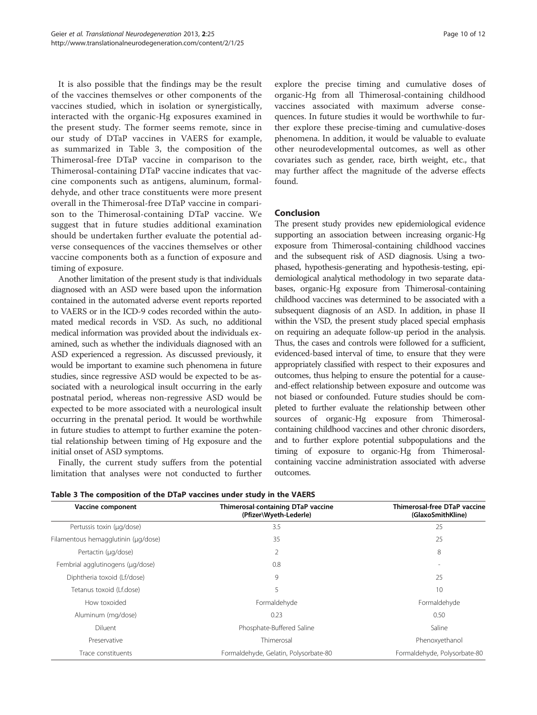It is also possible that the findings may be the result of the vaccines themselves or other components of the vaccines studied, which in isolation or synergistically, interacted with the organic-Hg exposures examined in the present study. The former seems remote, since in our study of DTaP vaccines in VAERS for example, as summarized in Table 3, the composition of the Thimerosal-free DTaP vaccine in comparison to the Thimerosal-containing DTaP vaccine indicates that vaccine components such as antigens, aluminum, formaldehyde, and other trace constituents were more present overall in the Thimerosal-free DTaP vaccine in comparison to the Thimerosal-containing DTaP vaccine. We suggest that in future studies additional examination should be undertaken further evaluate the potential adverse consequences of the vaccines themselves or other vaccine components both as a function of exposure and timing of exposure.

Another limitation of the present study is that individuals diagnosed with an ASD were based upon the information contained in the automated adverse event reports reported to VAERS or in the ICD-9 codes recorded within the automated medical records in VSD. As such, no additional medical information was provided about the individuals examined, such as whether the individuals diagnosed with an ASD experienced a regression. As discussed previously, it would be important to examine such phenomena in future studies, since regressive ASD would be expected to be associated with a neurological insult occurring in the early postnatal period, whereas non-regressive ASD would be expected to be more associated with a neurological insult occurring in the prenatal period. It would be worthwhile in future studies to attempt to further examine the potential relationship between timing of Hg exposure and the initial onset of ASD symptoms.

Finally, the current study suffers from the potential limitation that analyses were not conducted to further

explore the precise timing and cumulative doses of organic-Hg from all Thimerosal-containing childhood vaccines associated with maximum adverse consequences. In future studies it would be worthwhile to further explore these precise-timing and cumulative-doses phenomena. In addition, it would be valuable to evaluate other neurodevelopmental outcomes, as well as other covariates such as gender, race, birth weight, etc., that may further affect the magnitude of the adverse effects found.

### Conclusion

The present study provides new epidemiological evidence supporting an association between increasing organic-Hg exposure from Thimerosal-containing childhood vaccines and the subsequent risk of ASD diagnosis. Using a twophased, hypothesis-generating and hypothesis-testing, epidemiological analytical methodology in two separate databases, organic-Hg exposure from Thimerosal-containing childhood vaccines was determined to be associated with a subsequent diagnosis of an ASD. In addition, in phase II within the VSD, the present study placed special emphasis on requiring an adequate follow-up period in the analysis. Thus, the cases and controls were followed for a sufficient, evidenced-based interval of time, to ensure that they were appropriately classified with respect to their exposures and outcomes, thus helping to ensure the potential for a causeand-effect relationship between exposure and outcome was not biased or confounded. Future studies should be completed to further evaluate the relationship between other sources of organic-Hg exposure from Thimerosalcontaining childhood vaccines and other chronic disorders, and to further explore potential subpopulations and the timing of exposure to organic-Hg from Thimerosalcontaining vaccine administration associated with adverse outcomes.

| Vaccine component                   | Thimerosal-containing DTaP vaccine<br>(Pfizer\Wyeth-Lederle) | <b>Thimerosal-free DTaP vaccine</b><br>(GlaxoSmithKline) |  |
|-------------------------------------|--------------------------------------------------------------|----------------------------------------------------------|--|
| Pertussis toxin (µg/dose)           | 3.5                                                          | 25                                                       |  |
| Filamentous hemagglutinin (µg/dose) | 35                                                           | 25                                                       |  |
| Pertactin (µg/dose)                 | 2                                                            | 8                                                        |  |
| Fembrial agglutinogens (µg/dose)    | 0.8                                                          |                                                          |  |
| Diphtheria toxoid (Lf/dose)         | 9                                                            | 25                                                       |  |
| Tetanus toxoid (Lf.dose)            | 5                                                            | 10                                                       |  |
| How toxoided                        | Formaldehyde                                                 | Formaldehyde                                             |  |
| Aluminum (mg/dose)                  | 0.23                                                         | 0.50                                                     |  |
| Diluent                             | Phosphate-Buffered Saline                                    | Saline                                                   |  |
| Preservative                        | Thimerosal                                                   | Phenoxyethanol                                           |  |
| Trace constituents                  | Formaldehyde, Gelatin, Polysorbate-80                        | Formaldehyde, Polysorbate-80                             |  |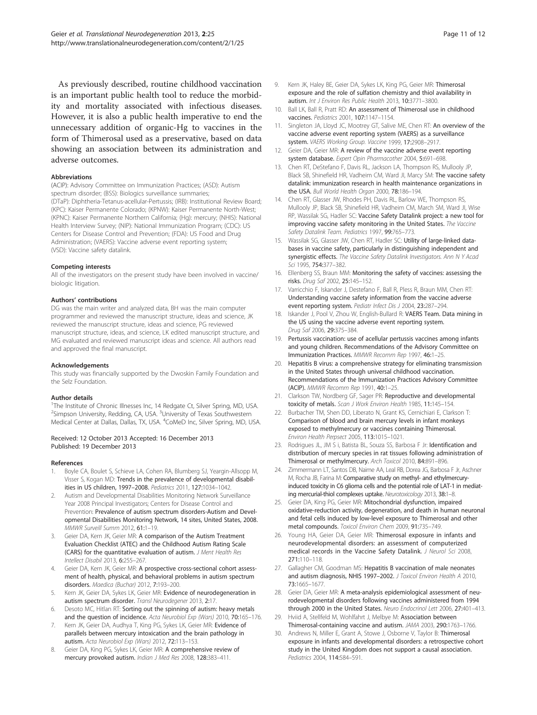<span id="page-10-0"></span>As previously described, routine childhood vaccination is an important public health tool to reduce the morbidity and mortality associated with infectious diseases. However, it is also a public health imperative to end the unnecessary addition of organic-Hg to vaccines in the form of Thimerosal used as a preservative, based on data showing an association between its administration and adverse outcomes.

#### Abbreviations

(ACIP): Advisory Committee on Immunization Practices; (ASD): Autism spectrum disorder; (BSS): Biologics surveillance summaries; (DTaP): Diphtheria-Tetanus-acellular-Pertussis; (IRB): Institutional Review Board; (KPC): Kaiser Permanente Colorado; (KPNW): Kaiser Permanente North-West; (KPNC): Kaiser Permanente Northern California; (Hg): mercury; (NHIS): National Health Interview Survey; (NIP): National Immunization Program; (CDC): US Centers for Disease Control and Prevention; (FDA): US Food and Drug Administration; (VAERS): Vaccine adverse event reporting system; (VSD): Vaccine safety datalink.

#### Competing interests

All of the investigators on the present study have been involved in vaccine/ biologic litigation.

#### Authors' contributions

DG was the main writer and analyzed data, BH was the main computer programmer and reviewed the manuscript structure, ideas and science, JK reviewed the manuscript structure, ideas and science, PG reviewed manuscript structure, ideas, and science, LK edited manuscript structure, and MG evaluated and reviewed manuscript ideas and science. All authors read and approved the final manuscript.

#### Acknowledgements

This study was financially supported by the Dwoskin Family Foundation and the Selz Foundation.

#### Author details

<sup>1</sup>The Institute of Chronic Illnesses Inc, 14 Redgate Ct, Silver Spring, MD, USA. <sup>2</sup>Simpson University, Redding, CA, USA. <sup>3</sup>University of Texas Southwestern Medical Center at Dallas, Dallas, TX, USA. <sup>4</sup>CoMeD Inc, Silver Spring, MD, USA.

#### Received: 12 October 2013 Accepted: 16 December 2013 Published: 19 December 2013

#### References

- 1. Boyle CA, Boulet S, Schieve LA, Cohen RA, Blumberg SJ, Yeargin-Allsopp M, Visser S, Kogan MD: Trends in the prevalence of developmental disabilities in US children, 1997–2008. Pediatrics 2011, 127:1034–1042.
- 2. Autism and Developmental Disabilities Monitoring Network Surveillance Year 2008 Principal Investigators; Centers for Disease Control and Prevention: Prevalence of autism spectrum disorders-Autism and Developmental Disabilities Monitoring Network, 14 sites, United States, 2008. MMWR Surveill Summ 2012, 61:1–19.
- 3. Geier DA, Kern JK, Geier MR: A comparison of the Autism Treatment Evaluation Checklist (ATEC) and the Childhood Autism Rating Scale (CARS) for the quantitative evaluation of autism. J Ment Health Res Intellect Disabil 2013, 6:255–267.
- Geier DA, Kern JK, Geier MR: A prospective cross-sectional cohort assessment of health, physical, and behavioral problems in autism spectrum disorders. Maedica (Buchar) 2012, 7:193–200.
- 5. Kern JK, Geier DA, Sykes LK, Geier MR: Evidence of neurodegeneration in autism spectrum disorder. Transl Neurodegener 2013, 2:17.
- 6. Desoto MC, Hitlan RT: Sorting out the spinning of autism: heavy metals and the question of incidence. Acta Neurobiol Exp (Wars) 2010, 70:165-176.
- 7. Kern JK, Geier DA, Audhya T, King PG, Sykes LK, Geier MR: Evidence of parallels between mercury intoxication and the brain pathology in autism. Acta Neurobiol Exp (Wars) 2012, 72:113–153.
- 8. Geier DA, King PG, Sykes LK, Geier MR: A comprehensive review of mercury provoked autism. Indian J Med Res 2008, 128:383–411.
- Kern JK, Haley BE, Geier DA, Sykes LK, King PG, Geier MR: Thimerosal exposure and the role of sulfation chemistry and thiol availability in autism. Int J Environ Res Public Health 2013, 10:3771–3800.
- 10. Ball LK, Ball R, Pratt RD: An assessment of Thimerosal use in childhood vaccines. Pediatrics 2001, 107:1147–1154.
- 11. Singleton JA, Lloyd JC, Mootrey GT, Salive ME, Chen RT: An overview of the vaccine adverse event reporting system (VAERS) as a surveillance system. VAERS Working Group. Vaccine 1999, 17:2908–2917.
- 12. Geier DA, Geier MR: A review of the vaccine adverse event reporting system database. Expert Opin Pharmacother 2004, 5:691–698.
- 13. Chen RT, DeStefano F, Davis RL, Jackson LA, Thompson RS, Mullooly JP, Black SB, Shinefield HR, Vadheim CM, Ward JI, Marcy SM: The vaccine safety datalink: immunization research in health maintenance organizations in the USA. Bull World Health Organ 2000, 78:186-194.
- 14. Chen RT, Glasser JW, Rhodes PH, Davis RL, Barlow WE, Thompson RS Mullooly JP, Black SB, Shinefield HR, Vadheim CM, March SM, Ward JI, Wise RP, Wassilak SG, Hadler SC: Vaccine Safety Datalink project: a new tool for improving vaccine safety monitoring in the United States. The Vaccine Safety Datalink Team. Pediatrics 1997, 99:765-773.
- 15. Wassilak SG, Glasser JW, Chen RT, Hadler SC: Utility of large-linked databases in vaccine safety, particularly in distinguishing independent and synergistic effects. The Vaccine Safety Datalink Investigators. Ann N Y Acad Sci 1995, 754:377-382.
- 16. Ellenberg SS, Braun MM: Monitoring the safety of vaccines: assessing the risks. Drug Saf 2002, 25:145–152.
- 17. Varricchio F, Iskander J, Destefano F, Ball R, Pless R, Braun MM, Chen RT: Understanding vaccine safety information from the vaccine adverse event reporting system. Pediatr Infect Dis J 2004, 23:287-294.
- 18. Iskander J, Pool V, Zhou W, English-Bullard R: VAERS Team. Data mining in the US using the vaccine adverse event reporting system. Drug Saf 2006, 29:375–384.
- 19. Pertussis vaccination: use of acellular pertussis vaccines among infants and young children. Recommendations of the Advisory Committee on Immunization Practices. MMWR Recomm Rep 1997, 46:1–25.
- 20. Hepatitis B virus: a comprehensive strategy for eliminating transmission in the United States through universal childhood vaccination. Recommendations of the Immunization Practices Advisory Committee (ACIP). MMWR Recomm Rep 1991, 40:1–25.
- 21. Clarkson TW, Nordberg GF, Sager PR: Reproductive and developmental toxicity of metals. Scan J Work Environ Health 1985, 11:145-154.
- 22. Burbacher TM, Shen DD, Liberato N, Grant KS, Cernichiari E, Clarkson T: Comparison of blood and brain mercury levels in infant monkeys exposed to methylmercury or vaccines containing Thimerosal. Environ Health Perpsect 2005, 113:1015–1021.
- 23. Rodrigues JL, JM S i, Batista BL, Souza SS, Barbosa F Jr: Identification and distribution of mercury species in rat tissues following administration of Thimerosal or methylmercury. Arch Toxicol 2010, 84:891–896.
- 24. Zimmermann LT, Santos DB, Naime AA, Leal RB, Dorea JG, Barbosa F Jr, Aschner M, Rocha JB, Farina M: Comparative study on methyl- and ethylmercuryinduced toxicity in C6 glioma cells and the potential role of LAT-1 in mediating mercurial-thiol complexes uptake. Neurotoxicology 2013, 38:1–8.
- 25. Geier DA, King PG, Geier MR: Mitochondrial dysfunction, impaired oxidative-reduction activity, degeneration, and death in human neuronal and fetal cells induced by low-level exposure to Thimerosal and other metal compounds. Toxicol Environ Chem 2009, 91:735–749.
- 26. Young HA, Geier DA, Geier MR: Thimerosal exposure in infants and neurodevelopmental disorders: an assessment of computerized medical records in the Vaccine Safety Datalink. J Neurol Sci 2008, 271:110–118.
- 27. Gallagher CM, Goodman MS: Hepatitis B vaccination of male neonates and autism diagnosis, NHIS 1997-2002. J Toxicol Environ Health A 2010, 73:1665–1677.
- 28. Geier DA, Geier MR: A meta-analysis epidemiological assessment of neurodevelopmental disorders following vaccines administered from 1994 through 2000 in the United States. Neuro Endocrinol Lett 2006, 27:401–413.
- 29. Hviid A, Stellfeld M, Wohlfahrt J, Melbye M: Association between Thimerosal-containing vaccine and autism. JAMA 2003, 290:1763-1766.
- 30. Andrews N, Miller E, Grant A, Stowe J, Osborne V, Taylor B: Thimerosal exposure in infants and developmental disorders: a retrospective cohort study in the United Kingdom does not support a causal association. Pediatrics 2004, 114:584–591.